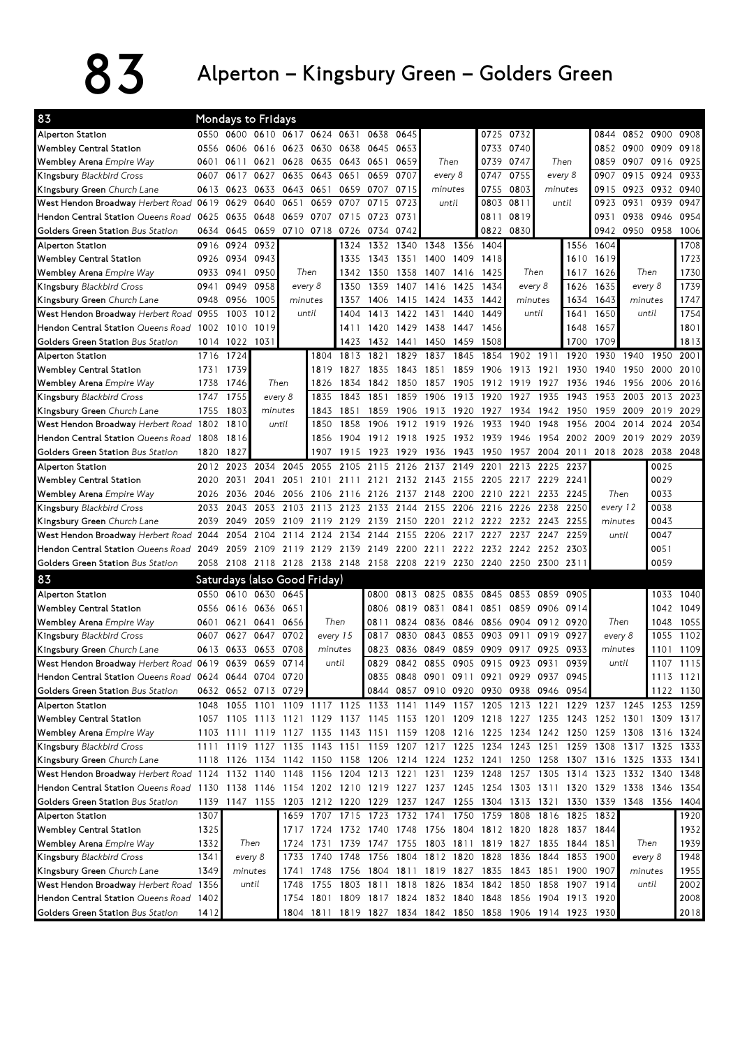## $83$  Alperton – Kingsbury Green – Golders Green

| 83                                                     |      | <b>Mondays to Fridays</b> |         |                                    |       |                |                          |           |                                                                            |           |                |                     |                |           |                                                                                           |                |           |           |
|--------------------------------------------------------|------|---------------------------|---------|------------------------------------|-------|----------------|--------------------------|-----------|----------------------------------------------------------------------------|-----------|----------------|---------------------|----------------|-----------|-------------------------------------------------------------------------------------------|----------------|-----------|-----------|
| Alperton Station                                       |      |                           |         | 0550 0600 0610 0617 0624 0631      |       |                | 0638                     | 0645      |                                                                            |           |                | 0725 0732           |                |           | 0844                                                                                      |                | 0852 0900 | 0908      |
| <b>Wembley Central Station</b>                         | 0556 | 0606                      | 0616    | 0623 0630 0638                     |       |                | 0645                     | 0653      |                                                                            | Then      |                | 0733 0740           |                |           |                                                                                           | 0852 0900 0909 |           | 0918      |
| Wembley Arena Empire Way                               | 0601 | 0611                      | 0621    | 0628                               | 0635  | 0643           | 0651                     | 0659      |                                                                            |           |                | 0747                |                | Then      | 0859                                                                                      | 0907 0916      |           | 0925      |
| Kingsbury Blackbird Cross                              | 0607 | 0617                      | 0627    | 0635                               | 0643  | 0651           | 0659                     | 0707      | every 8                                                                    |           | 0747           | 0755                |                | every 8   | 0907                                                                                      | 0915           | 0924      | 0933      |
| Kingsbury Green Church Lane                            |      | 0613 0623                 | 0633    | 0643 0651                          |       | 0659           | 0707                     | 0715      | minutes                                                                    |           | 0755           | 0803                | minutes        |           | 0915                                                                                      |                | 0923 0932 | 0940      |
| West Hendon Broadway Herbert Road                      | 0619 | 0629                      | 0640    | 0651                               | 0659  | 0707           | 0715                     | 0723      | until                                                                      |           | 0803           | 0811                |                | until     | 0923                                                                                      | 0931           | 0939      | 0947      |
| Hendon Central Station Queens Road                     | 0625 | 0635                      | 0648    | 0659                               | 0707  |                | 0723                     | 0731      |                                                                            |           | 0811           | 0819                |                |           | 0931                                                                                      | 0938           | 0946      | 0954      |
| Golders Green Station Bus Station                      | 0634 | 0645                      | 0659    |                                    |       | 0710 0718 0726 | 0734                     | 0742      |                                                                            |           | 0822           | 0830                |                |           | 0942                                                                                      | 0950 0958      |           | 1006      |
| Alperton Station                                       | 0916 | 0924                      | 0932    |                                    |       | 1324           | 1332                     | 1340      | 1348                                                                       | 1356      | 1404           |                     |                | 1556      | 1604                                                                                      |                |           | 1708      |
| Wembley Central Station                                | 0926 | 0934                      | 0943    |                                    |       | 1335           | 1343                     | 1351      | 1400                                                                       | 1409      | 1418           |                     |                | 1610      | 1619                                                                                      |                |           | 1723      |
| Wembley Arena Empire Way                               | 0933 | 0941                      | 0950    |                                    | Then  | 1342           | 1350                     | 1358      | 1407                                                                       | 1416      | 1425           |                     | Then           | 1617      | 1626                                                                                      |                | Then      | 1730      |
| Kingsbury Blackbird Cross                              | 0941 | 0949                      | 0958    | every 8                            |       | 1350           | 1359                     | 1407      | 1416                                                                       | 1425      | 1434           |                     | every 8        | 1626      | 1635                                                                                      | every 8        |           | 1739      |
| Kingsbury Green Church Lane                            |      | 0948 0956                 | 1005    | minutes                            |       | 1357           | 1406                     |           | 1415 1424                                                                  | 1433      | 1442           |                     | minutes        | 1634      | 1643                                                                                      | minutes        |           | 1747      |
| West Hendon Broadway Herbert Road 0955                 |      | 1003                      | 1012    |                                    | until | 1404           | 1413                     | 1422      | 1431                                                                       | 1440      | 1449           |                     | until          | 1641      | 1650                                                                                      | until          |           | 1754      |
| Hendon Central Station Queens Road 1002                |      | 1010                      | 1019    |                                    |       | 1411           | 1420                     |           | 1429 1438                                                                  | 1447      | 1456           |                     |                | 1648      | 1657                                                                                      |                |           | 1801      |
| Golders Green Station Bus Station                      |      | 1014 1022 1031            |         |                                    |       | 1423           | 1432                     | 1441      | 1450                                                                       | 1459      | 1508           |                     |                | 1700      | 1709                                                                                      |                |           | 1813      |
| Alperton Station                                       |      | 1716 1724                 |         |                                    | 1804  | 1813           | 1821                     | 1829      | 1837                                                                       | 1845      | 1854           | 1902                | 1911           | 1920      | 1930                                                                                      | 1940           | 1950      | 2001      |
| <b>Wembley Central Station</b>                         | 1731 | 1739                      |         |                                    | 1819  | 1827           | 1835                     | 1843      | 1851                                                                       | 1859      | 1906           | 1913                | 1921           | 1930      | 1940                                                                                      | 1950           | 2000      | 2010      |
| Wembley Arena Empire Way                               | 1738 | 1746                      |         | Then                               | 1826  | 1834           | 1842                     | 1850      | 1857                                                                       | 1905      |                | 1912 1919           | 1927           | 1936      | 1946                                                                                      | 1956           | 2006      | 2016      |
| Kingsbury Blackbird Cross                              | 1747 | 1755                      |         | every 8                            | 1835  | 1843           | 1851                     | 1859      | 1906                                                                       | 1913      | 1920           | 1927                | 1935           | 1943      | 1953                                                                                      | 2003           | 2013      | 2023      |
| Kingsbury Green Church Lane                            | 1755 | 1803                      |         | minutes                            | 1843  | 1851           | 1859                     | 1906      | 1913                                                                       | 1920      | 1927           | 1934                | 1942           | 1950      | 1959                                                                                      | 2009           | 2019      | 2029      |
| West Hendon Broadway Herbert Road                      | 1802 | 1810                      |         | until                              | 1850  | 1858           | 1906                     | 1912      | 1919                                                                       | 1926      | 1933           | 1940                | 1948           | 1956      | 2004                                                                                      | 2014           | 2024      | 2034      |
| Hendon Central Station Queens Road                     | 1808 | 1816                      |         |                                    | 1856  | 1904           | 1912                     | 1918      | 1925                                                                       | 1932      | 1939           | 1946                | 1954           |           | 2002 2009                                                                                 | 2019           | 2029      | 2039      |
| Golders Green Station Bus Station                      | 1820 | 1827                      |         |                                    | 1907  | 1915           | 1923                     | 1929      | 1936                                                                       | 1943      | 1950           | 1957                | 2004           | 2011      | 2018                                                                                      | 2028           | 2038      | 2048      |
| Alperton Station                                       | 2012 | 2023                      | 2034    | 2045                               | 2055  | 2105           | 2115                     | 2126      | 2137                                                                       | 2149      | 2201           | 2213                | 2225           | 2237      |                                                                                           |                | 0025      |           |
| <b>Wembley Central Station</b>                         | 2020 | 2031                      | 2041    | 2051                               | 2101  | 2111           | 2121                     |           | 2132 2143                                                                  | 2155      |                | 2205 2217           | 2229           | 2241      |                                                                                           |                | 0029      |           |
| Wembley Arena Empire Way                               | 2026 | 2036                      | 2046    | 2056                               |       | 2106 2116      | 2126                     | 2137 2148 |                                                                            |           | 2200 2210 2221 |                     |                | 2233 2245 | Then                                                                                      |                | 0033      |           |
| Kingsbury Blackbird Cross                              | 2033 | 2043                      | 2053    | 2103                               |       | 2113 2123      | 2133                     | 2144      | 2155                                                                       | 2206      |                | 2216 2226           | 2238           | 2250      | every 12                                                                                  |                | 0038      |           |
| Kingsbury Green Church Lane                            | 2039 | 2049                      | 2059    | 2109                               |       | 2119 2129      | 2139                     | 2150 2201 |                                                                            |           |                | 2212 2222 2232 2243 |                | 2255      | minutes                                                                                   |                | 0043      |           |
| West Hendon Broadway Herbert Road 2044                 |      | 2054                      | 2104    | 2114                               | 2124  | 2134           | 2144                     | 2155      | 2206                                                                       | 2217      | 2227           | 2237                | 2247           | 2259      |                                                                                           | until          | 0047      |           |
| Hendon Central Station Queens Road                     | 2049 | 2059                      | 2109    | 2119                               |       | 2129 2139      | 2149                     |           | 2200 2211                                                                  | 2222      |                | 2232 2242           | 2252           | 2303      |                                                                                           |                | 0051      |           |
| Golders Green Station Bus Station                      | 2058 | 2108                      |         |                                    |       |                |                          |           | 2118 2128 2138 2148 2158 2208 2219 2230 2240 2250                          |           |                |                     | 2300 2311      |           |                                                                                           |                | 0059      |           |
| 83                                                     |      |                           |         | Saturdays (also Good Friday)       |       |                |                          |           |                                                                            |           |                |                     |                |           |                                                                                           |                |           |           |
| Alperton Station                                       |      | 0550 0610 0630 0645       |         |                                    |       |                | 0800                     |           | 0813 0825                                                                  | 0835      |                | 0845 0853           | 0859           | 0905      |                                                                                           |                | 1033      | 1040      |
| <b>Wembley Central Station</b>                         |      | 0556 0616 0636            |         | 0651                               |       |                | 0806                     |           | 0819 0831                                                                  | 0841      | 0851           | 0859                | 0906           | 0914      |                                                                                           |                | 1042      | 1049      |
| Wembley Arena Empire Way                               | 0601 | 0621                      | 0641    | 0656                               |       | Then           | 0811                     |           | 0824 0836                                                                  | 0846      |                | 0856 0904           | 0912           | 0920      | Then                                                                                      |                | 1048      | 1055      |
| Kingsbury Blackbird Cross                              | 0607 | 0627                      | 0647    | 0702                               |       | every 15       | 0817                     | 0830      | 0843                                                                       | 0853      | 0903           | 0911                | 0919           | 0927      | every 8                                                                                   |                | 1055      | 1102      |
| Kingsbury Green Church Lane                            | 0613 | 0633                      | 0653    | 0708                               |       | minutes        | 0823                     | 0836      | 0849                                                                       | 0859      | 0909           | 0917                | 0925           | 0933      | minutes                                                                                   |                | 1101      | 1109      |
| West Hendon Broadway Herbert Road 0619                 |      | 0639                      | 0659    | 0714                               |       | until          | 0829                     |           | 0842 0855                                                                  | 0905      | 0915           | 0923                | 0931           | 0939      | until                                                                                     |                | 1107      | 1115      |
| Hendon Central Station Queens Road 0624 0644 0704 0720 |      |                           |         |                                    |       |                |                          |           | 0835 0848 0901 0911 0921 0929 0937 0945                                    |           |                |                     |                |           |                                                                                           |                |           | 1113 1121 |
| Golders Green Station Bus Station                      |      | 0632 0652 0713 0729       |         |                                    |       |                |                          |           | 0844 0857 0910 0920 0930 0938 0946 0954                                    |           |                |                     |                |           |                                                                                           |                |           | 1122 1130 |
| Alperton Station                                       |      |                           |         |                                    |       |                |                          |           |                                                                            |           |                |                     |                |           | 1048 1055 1101 1109 1117 1125 1133 1141 1149 1157 1205 1213 1221 1229 1237 1245 1253 1259 |                |           |           |
| <b>Wembley Central Station</b>                         |      |                           |         |                                    |       |                |                          |           |                                                                            |           |                |                     |                |           | 1057 1105 1113 1121 1129 1137 1145 1153 1201 1209 1218 1227 1235 1243 1252 1301 1309 1317 |                |           |           |
| Wembley Arena Empire Way                               |      |                           |         |                                    |       |                |                          |           |                                                                            |           |                |                     |                |           | 1103 1111 1119 1127 1135 1143 1151 1159 1208 1216 1225 1234 1242 1250 1259 1308 1316 1324 |                |           |           |
| Kingsbury Blackbird Cross                              |      |                           |         |                                    |       |                |                          |           |                                                                            |           |                |                     |                |           | 1111 1119 1127 1135 1143 1151 1159 1207 1217 1225 1234 1243 1251 1259 1308 1317 1325 1333 |                |           |           |
| Kingsbury Green Church Lane                            |      |                           |         |                                    |       |                |                          |           |                                                                            |           |                |                     |                |           | 1118 1126 1134 1142 1150 1158 1206 1214 1224 1232 1241 1250 1258 1307 1316 1325 1333 1341 |                |           |           |
| West Hendon Broadway Herbert Road 1124 1132 1140 1148  |      |                           |         |                                    |       |                | 1156 1204 1213 1221 1231 |           |                                                                            | 1239 1248 |                | 1257                | 1305 1314      |           | 1323                                                                                      | 1332 1340      |           | 1348      |
| Hendon Central Station Queens Road                     |      |                           |         |                                    |       |                |                          |           | 1130 1138 1146 1154 1202 1210 1219 1227 1237 1245 1254 1303 1311 1320 1329 |           |                |                     |                |           |                                                                                           | 1338 1346      |           | 1354      |
| Golders Green Station Bus Station                      |      |                           |         | 1139 1147 1155 1203 1212 1220 1229 |       |                |                          |           | 1237 1247 1255 1304 1313 1321                                              |           |                |                     |                | 1330      | 1339                                                                                      | 1348 1356 1404 |           |           |
| Alperton Station                                       | 1307 |                           |         | 1659                               |       | 1707 1715      | 1723                     |           | 1732 1741                                                                  | 1750      |                | 1759 1808           | 1816           | 1825      | 1832                                                                                      |                |           | 1920      |
| <b>Wembley Central Station</b>                         | 1325 |                           |         |                                    |       |                |                          |           | 1717 1724 1732 1740 1748 1756 1804 1812 1820                               |           |                |                     | 1828 1837 1844 |           |                                                                                           |                |           | 1932      |
| Wembley Arena Empire Way                               | 1332 |                           | Then    | 1724                               |       |                |                          |           | 1731 1739 1747 1755 1803 1811 1819 1827 1835 1844 1851                     |           |                |                     |                |           |                                                                                           |                | Then      | 1939      |
| Kingsbury Blackbird Cross                              | 1341 |                           | every 8 | 1733                               |       | 1740 1748      | 1756                     |           | 1804 1812 1820 1828 1836                                                   |           |                |                     | 1844 1853 1900 |           |                                                                                           | every 8        |           | 1948      |
| Kingsbury Green Church Lane                            | 1349 |                           | minutes | 1741                               | 1748  |                |                          |           | 1756 1804 1811 1819 1827 1835 1843 1851                                    |           |                |                     |                | 1900 1907 |                                                                                           | minutes        |           | 1955      |
| West Hendon Broadway Herbert Road 1356                 |      |                           | until   | 1748                               |       |                | 1755 1803 1811 1818 1826 |           |                                                                            |           | 1834 1842 1850 |                     | 1858 1907 1914 |           |                                                                                           |                | until     | 2002      |
| Hendon Central Station Queens Road                     | 1402 |                           |         | 1754                               |       |                |                          |           | 1801 1809 1817 1824 1832 1840 1848 1856                                    |           |                |                     | 1904 1913 1920 |           |                                                                                           |                |           | 2008      |
| Golders Green Station Bus Station                      | 1412 |                           |         |                                    |       |                |                          |           | 1804 1811 1819 1827 1834 1842 1850 1858 1906 1914 1923 1930                |           |                |                     |                |           |                                                                                           |                |           | 2018      |
|                                                        |      |                           |         |                                    |       |                |                          |           |                                                                            |           |                |                     |                |           |                                                                                           |                |           |           |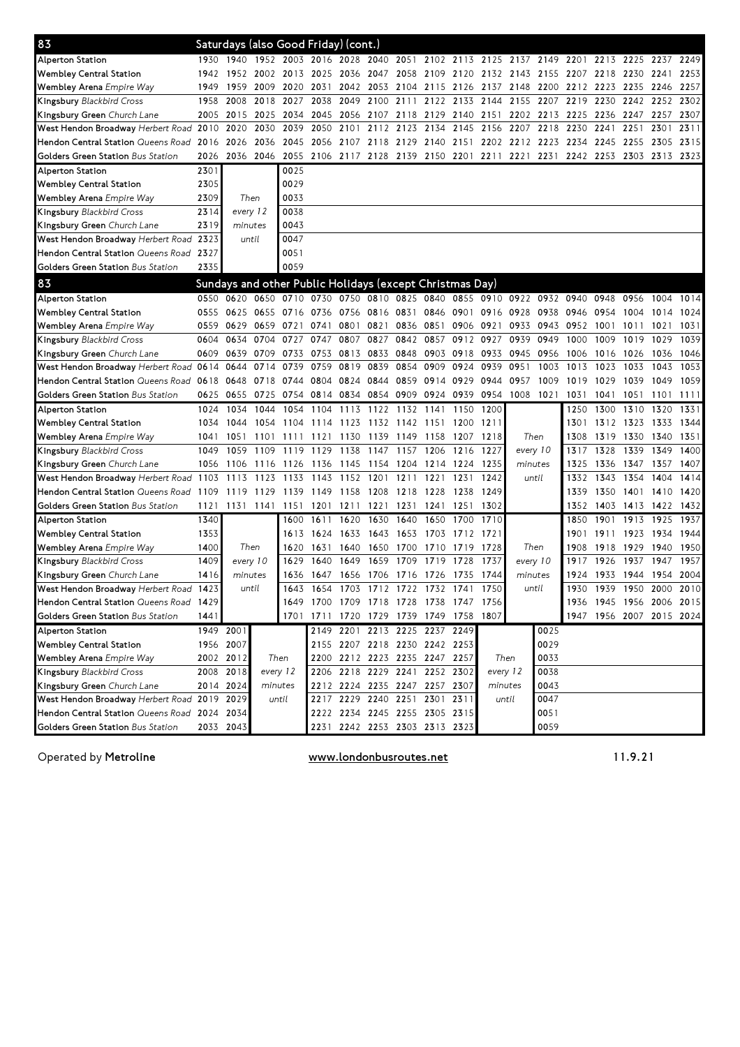| 83                                           |      | Saturdays (also Good Friday) (cont.)                             |                |           |                                                        |                |                               |           |                |                               |                |           |      |                                                                       |           |                |      |                          |
|----------------------------------------------|------|------------------------------------------------------------------|----------------|-----------|--------------------------------------------------------|----------------|-------------------------------|-----------|----------------|-------------------------------|----------------|-----------|------|-----------------------------------------------------------------------|-----------|----------------|------|--------------------------|
| Alperton Station                             | 1930 | 1940 1952 2003 2016 2028 2040 2051 2102 2113 2125 2137 2149 2201 |                |           |                                                        |                |                               |           |                |                               |                |           |      |                                                                       |           | 2213 2225 2237 |      | 2249                     |
| <b>Wembley Central Station</b>               | 1942 |                                                                  | 1952 2002 2013 |           |                                                        | 2025 2036 2047 |                               |           | 2058 2109 2120 |                               | 2132 2143 2155 |           |      | 2207                                                                  | 2218 2230 |                | 2241 | 2253                     |
| Wembley Arena Empire Way                     | 1949 | 1959                                                             | 2009 2020      |           | 2031                                                   |                | 2042 2053                     | 2104      | 2115 2126      |                               | 2137           | 2148 2200 |      | 2212                                                                  | 2223 2235 |                | 2246 | 2257                     |
| Kingsbury Blackbird Cross                    | 1958 | 2008                                                             | 2018 2027      |           | 2038                                                   | 2049           | 2100                          | 2111      |                | 2122 2133                     | 2144           | 2155      | 2207 | 2219                                                                  | 2230      | 2242           | 2252 | 2302                     |
| Kingsbury Green Church Lane                  | 2005 | 2015                                                             | 2025           | 2034      | 2045                                                   | 2056           | 2107                          | 2118      | 2129           | 2140                          | 2151           | 2202      | 2213 | 2225                                                                  | 2236      | 2247           | 2257 | 2307                     |
| West Hendon Broadway Herbert Road            | 2010 | 2020                                                             | 2030           | 2039      | 2050                                                   | 2101           | 2112                          | 2123      | 2134           | 2145                          | 2156           | 2207      | 2218 | 2230                                                                  | 2241      | 2251           | 2301 | 2311                     |
| Hendon Central Station Queens Road           | 2016 | 2026                                                             | 2036           | 2045      |                                                        | 2056 2107 2118 |                               |           |                | 2129 2140 2151 2202 2212 2223 |                |           |      | 2234                                                                  | 2245 2255 |                | 2305 | 2315                     |
| Golders Green Station Bus Station            | 2026 |                                                                  | 2036 2046 2055 |           |                                                        |                |                               |           |                |                               |                |           |      | 2106 2117 2128 2139 2150 2201 2211 2221 2231 2242 2253 2303 2313 2323 |           |                |      |                          |
| <b>Alperton Station</b>                      | 2301 |                                                                  |                | 0025      |                                                        |                |                               |           |                |                               |                |           |      |                                                                       |           |                |      |                          |
| <b>Wembley Central Station</b>               | 2305 |                                                                  |                | 0029      |                                                        |                |                               |           |                |                               |                |           |      |                                                                       |           |                |      |                          |
| Wembley Arena Empire Way                     | 2309 | Then                                                             |                | 0033      |                                                        |                |                               |           |                |                               |                |           |      |                                                                       |           |                |      |                          |
| Kingsbury Blackbird Cross                    | 2314 | every 12                                                         |                | 0038      |                                                        |                |                               |           |                |                               |                |           |      |                                                                       |           |                |      |                          |
| Kingsbury Green Church Lane                  | 2319 | minutes                                                          |                | 0043      |                                                        |                |                               |           |                |                               |                |           |      |                                                                       |           |                |      |                          |
| West Hendon Broadway Herbert Road            | 2323 | until                                                            |                | 0047      |                                                        |                |                               |           |                |                               |                |           |      |                                                                       |           |                |      |                          |
| Hendon Central Station Queens Road 2327      |      |                                                                  |                | 0051      |                                                        |                |                               |           |                |                               |                |           |      |                                                                       |           |                |      |                          |
| Golders Green Station Bus Station            | 2335 |                                                                  |                | 0059      |                                                        |                |                               |           |                |                               |                |           |      |                                                                       |           |                |      |                          |
| 83                                           |      | Sundays and other Public Holidays (except Christmas Day)         |                |           |                                                        |                |                               |           |                |                               |                |           |      |                                                                       |           |                |      |                          |
| Alperton Station                             | 0550 | 0620                                                             |                |           | 0650 0710 0730 0750 0810 0825 0840 0855 0910 0922 0932 |                |                               |           |                |                               |                |           |      | 0940                                                                  | 0948      | 0956           | 1004 | 1014                     |
| <b>Wembley Central Station</b>               | 0555 | 0625                                                             | 0655 0716      |           | 0736                                                   | 0756 0816      |                               | 0831      | 0846           | 0901                          | 0916           | 0928      | 0938 | 0946                                                                  | 0954      | 1004           | 1014 | 1024                     |
| Wembley Arena Empire Way                     | 0559 | 0629                                                             | 0659 0721      |           | 0741                                                   | 0801           | 0821                          | 0836 0851 |                | 0906                          | 0921           | 0933      | 0943 | 0952                                                                  | 1001      | 1011           | 1021 | 1031                     |
| Kingsbury Blackbird Cross                    | 0604 | 0634                                                             | 0704           | 0727      | 0747                                                   | 0807           | 0827                          | 0842      | 0857           | 0912                          | 0927           | 0939      | 0949 | 1000                                                                  | 1009      | 1019           | 1029 | 1039                     |
| Kingsbury Green Church Lane                  | 0609 | 0639                                                             | 0709           | 0733      | 0753                                                   | 0813           | 0833                          | 0848      | 0903           | 0918                          | 0933           | 0945      | 0956 | 1006                                                                  | 1016      | 1026           | 1036 | 1046                     |
| West Hendon Broadway Herbert Road            | 0614 | 0644                                                             | 0714           | 0739      | 0759                                                   | 0819           | 0839                          | 0854      | 0909           | 0924                          | 0939           | 0951      | 1003 | 1013                                                                  | 1023      | 1033           | 1043 | 1053                     |
| Hendon Central Station Queens Road           | 0618 | 0648                                                             | 0718 0744      |           | 0804                                                   | 0824 0844      |                               |           | 0859 0914 0929 |                               | 0944           | 0957      | 1009 | 1019                                                                  | 1029      | 1039           | 1049 | 1059                     |
| Golders Green Station Bus Station            | 0625 | 0655                                                             | 0725 0754      |           | 0814                                                   |                | 0834 0854                     | 0909 0924 |                | 0939                          | 0954           | 1008 1021 |      | 1031                                                                  | 1041      | 1051           | 1101 | 1111                     |
| <b>Alperton Station</b>                      | 1024 | 1034                                                             | 1044           | 1054      | 1104                                                   | 1113           | 1122                          | 1132      | 1141           | 1150                          | 1200           |           |      | 1250                                                                  | 1300      | 1310           | 1320 | 1331                     |
| <b>Wembley Central Station</b>               | 1034 | 1044                                                             | 1054           | 1104      | 1114                                                   | 1123           | 1132                          | 1142      | 1151           | 1200                          | 1211           |           |      | 1301                                                                  | 1312      | 1323           | 1333 | 1344                     |
| Wembley Arena Empire Way                     | 1041 | 1051                                                             | 1101           | 1111      | 1121                                                   | 1130           | 1139                          | 1149      | 1158           | 1207                          | 1218           | Then      |      | 1308                                                                  | 1319      | 1330           | 1340 | 1351                     |
| Kingsbury Blackbird Cross                    | 1049 | 1059                                                             | 1109           | 1119      | 1129                                                   | 1138           | 1147                          | 1157      | 1206           | 1216                          | 1227           | every 10  |      | 1317                                                                  | 1328      | 1339           | 1349 | 1400                     |
| Kingsbury Green Church Lane                  | 1056 | 1106                                                             | 1116           | 1126      | 1136                                                   | 1145           | 1154                          | 1204      | 1214           | 1224                          | 1235           | minutes   |      | 1325                                                                  | 1336      | 1347           | 1357 | 1407                     |
| West Hendon Broadway Herbert Road 1103       |      | 1113                                                             | 1123           | 1133      | 1143                                                   | 1152           | 1201                          | 1211      | 1221           | 1231                          | 1242           | until     |      | 1332                                                                  | 1343      | 1354           | 1404 | 1414                     |
| Hendon Central Station Queens Road 1109      |      | 1119                                                             | 1129           | 1139      | 1149                                                   | 1158           | 1208                          | 1218      | 1228           | 1238                          | 1249           |           |      | 1339                                                                  | 1350      | 1401           | 1410 | 1420                     |
| Golders Green Station Bus Station            | 1121 | 1131 1141 1151                                                   |                |           | 1201                                                   | 1211           | 1221                          | 1231      | 1241           | 1251                          | 1302           |           |      | 1352                                                                  | 1403 1413 |                | 1422 | 1432                     |
| Alperton Station                             | 1340 |                                                                  |                | 1600      | 1611                                                   | 1620           | 1630                          | 1640      | 1650           | 1700                          | 1710           |           |      | 1850                                                                  | 1901      | 1913           | 1925 | 1937                     |
| <b>Wembley Central Station</b>               | 1353 |                                                                  |                | 1613      | 1624                                                   | 1633           | 1643                          | 1653      | 1703           | 1712                          | 1721           |           |      | 1901                                                                  | 1911      | 1923           | 1934 | 1944                     |
| Wembley Arena Empire Way                     | 1400 | Then                                                             |                | 1620      | 1631                                                   | 1640           | 1650                          | 1700      | 1710           | 1719                          | 1728           | Then      |      | 1908                                                                  | 1918      | 1929           | 1940 | 1950                     |
| Kingsbury Blackbird Cross                    | 1409 | every 10                                                         |                | 1629      | 1640                                                   | 1649           | 1659                          | 1709      | 1719           | 1728                          | 1737           | every 10  |      | 1917                                                                  | 1926      | 1937           | 1947 | 1957                     |
| Kingsbury Green Church Lane                  | 1416 | minutes                                                          |                | 1636      | 1647                                                   | 1656 1706      |                               | 1716 1726 |                | 1735                          | 1744           | minutes   |      | 1924                                                                  | 1933 1944 |                |      | 1954 2004                |
| West Hendon Broadway Herbert Road            | 1423 | until                                                            |                | 1643      | 1654                                                   |                | 1703 1712 1722 1732 1741      |           |                |                               | 1750           | until     |      | 1930                                                                  | 1939      | 1950           | 2000 | 2010                     |
| Hendon Central Station Queens Road 1429      |      |                                                                  |                |           | 1649 1700 1709 1718 1728 1738 1747 1756                |                |                               |           |                |                               |                |           |      |                                                                       |           |                |      | 1936 1945 1956 2006 2015 |
| Golders Green Station Bus Station            | 1441 |                                                                  |                | 1701 1711 |                                                        |                |                               |           |                | 1720 1729 1739 1749 1758 1807 |                |           |      |                                                                       |           |                |      | 1947 1956 2007 2015 2024 |
| Alperton Station                             |      | 1949 2001                                                        |                |           |                                                        |                | 2149 2201 2213 2225 2237 2249 |           |                |                               |                |           | 0025 |                                                                       |           |                |      |                          |
| Wembley Central Station                      |      | 1956 2007                                                        |                |           |                                                        |                | 2155 2207 2218 2230 2242 2253 |           |                |                               |                |           | 0029 |                                                                       |           |                |      |                          |
| Wembley Arena Empire Way                     |      | 2002 2012                                                        | Then           |           |                                                        |                | 2200 2212 2223 2235 2247 2257 |           |                |                               | Then           |           | 0033 |                                                                       |           |                |      |                          |
| Kingsbury Blackbird Cross                    |      | 2008 2018                                                        | every 12       |           |                                                        |                | 2206 2218 2229 2241 2252 2302 |           |                |                               | every 12       |           | 0038 |                                                                       |           |                |      |                          |
| Kingsbury Green Church Lane                  |      | 2014 2024                                                        | minutes        |           |                                                        |                | 2212 2224 2235 2247 2257 2307 |           |                |                               | minutes        |           | 0043 |                                                                       |           |                |      |                          |
| West Hendon Broadway Herbert Road 2019 2029  |      |                                                                  |                | until     |                                                        |                | 2217 2229 2240 2251 2301 2311 |           |                |                               |                | until     | 0047 |                                                                       |           |                |      |                          |
| Hendon Central Station Queens Road 2024 2034 |      |                                                                  |                |           |                                                        |                | 2222 2234 2245 2255 2305 2315 |           |                |                               |                |           | 0051 |                                                                       |           |                |      |                          |
| Golders Green Station Bus Station            |      | 2033 2043                                                        |                |           |                                                        |                | 2231 2242 2253 2303 2313 2323 |           |                |                               |                |           | 0059 |                                                                       |           |                |      |                          |
|                                              |      |                                                                  |                |           |                                                        |                |                               |           |                |                               |                |           |      |                                                                       |           |                |      |                          |

Operated by Metroline **Exercise Service Service WWW.londonbusroutes.net** 11.9.21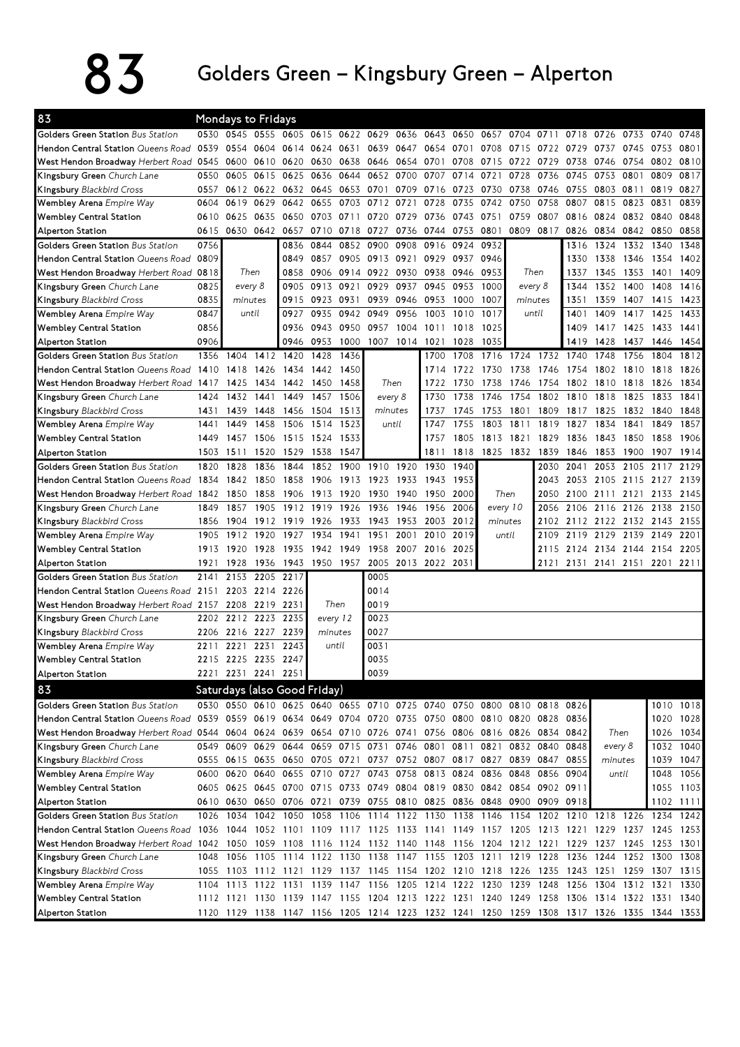## $83$  Golders Green – Kingsbury Green – Alperton

| 83                                                                                                                          |      | <b>Mondays to Fridays</b> |                |                                                                                           |      |                |                               |           |           |      |          |           |                |      |                     |      |      |           |
|-----------------------------------------------------------------------------------------------------------------------------|------|---------------------------|----------------|-------------------------------------------------------------------------------------------|------|----------------|-------------------------------|-----------|-----------|------|----------|-----------|----------------|------|---------------------|------|------|-----------|
| Golders Green Station Bus Station                                                                                           |      | 0530 0545 0555            |                |                                                                                           |      | 0605 0615 0622 | 0629                          | 0636      | 0643      | 0650 | 0657     | 0704      | 0711           | 0718 | 0726                | 0733 | 0740 | 0748      |
| Hendon Central Station Queens Road                                                                                          | 0539 | 0554                      | 0604           | 0614                                                                                      |      | 0624 0631      | 0639                          | 0647      | 0654      | 0701 | 0708     | 0715      | 0722           | 0729 | 0737                | 0745 | 0753 | 0801      |
| West Hendon Broadway Herbert Road 0545                                                                                      |      | 0600                      | 0610           | 0620                                                                                      | 0630 | 0638           | 0646                          | 0654 0701 |           | 0708 | 0715     | 0722      | 0729           | 0738 | 0746                | 0754 | 0802 | 0810      |
| Kingsbury Green Church Lane                                                                                                 | 0550 | 0605                      | 0615           | 0625                                                                                      | 0636 | 0644           | 0652                          | 0700      | 0707      | 0714 | 0721     | 0728      | 0736           | 0745 | 0753                | 0801 | 0809 | 0817      |
| Kingsbury Blackbird Cross                                                                                                   | 0557 | 0612                      | 0622           | 0632                                                                                      | 0645 | 0653           | 0701                          | 0709      | 0716      | 0723 | 0730     | 0738      | 0746           | 0755 | 0803                | 0811 | 0819 | 0827      |
| Wembley Arena Empire Way                                                                                                    | 0604 | 0619                      | 0629           | 0642                                                                                      | 0655 | 0703           | 0712                          | 0721      | 0728      | 0735 | 0742     | 0750      | 0758           | 0807 | 0815                | 0823 | 0831 | 0839      |
| <b>Wembley Central Station</b>                                                                                              | 0610 | 0625                      | 0635           | 0650                                                                                      | 0703 | 0711           | 0720                          | 0729      | 0736      | 0743 | 0751     | 0759      | 0807           | 0816 | 0824                | 0832 | 0840 | 0848      |
| Alperton Station                                                                                                            | 0615 | 0630                      | 0642           | 0657                                                                                      | 0710 | 0718           | 0727                          | 0736      | 0744      | 0753 | 0801     | 0809      | 0817           | 0826 | 0834                | 0842 | 0850 | 0858      |
| <b>Golders Green Station</b> Bus Station                                                                                    | 0756 |                           |                | 0836                                                                                      | 0844 | 0852           | 0900                          | 0908      | 0916      | 0924 | 0932     |           |                | 1316 | 1324                | 1332 | 1340 | 1348      |
| Hendon Central Station Queens Road                                                                                          | 0809 |                           |                | 0849                                                                                      | 0857 | 0905           | 0913                          | 0921 0929 |           | 0937 | 0946     |           |                | 1330 | 1338                | 1346 | 1354 | 1402      |
| West Hendon Broadway Herbert Road 0818                                                                                      |      | Then                      |                | 0858                                                                                      | 0906 | 0914           | 0922                          | 0930      | 0938      | 0946 | 0953     | Then      |                | 1337 | 1345                | 1353 | 1401 | 1409      |
| Kingsbury Green Church Lane                                                                                                 | 0825 | every 8                   |                | 0905                                                                                      | 0913 | 0921           | 0929                          | 0937      | 0945      | 0953 | 1000     | every 8   |                | 1344 | 1352                | 1400 | 1408 | 1416      |
| Kingsbury Blackbird Cross                                                                                                   | 0835 | minutes                   |                | 0915                                                                                      |      | 0923 0931      | 0939                          | 0946 0953 |           | 1000 | 1007     | minutes   |                | 1351 | 1359                | 1407 | 1415 | 1423      |
| Wembley Arena Empire Way                                                                                                    | 0847 | until                     |                | 0927                                                                                      | 0935 | 0942           | 0949                          | 0956      | 1003      | 1010 | 1017     | until     |                | 1401 | 1409                | 1417 | 1425 | 1433      |
| <b>Wembley Central Station</b>                                                                                              | 0856 |                           |                | 0936                                                                                      | 0943 | 0950           | 0957                          | 1004      | 1011      | 1018 | 1025     |           |                | 1409 | 1417                | 1425 | 1433 | 1441      |
| <b>Alperton Station</b>                                                                                                     | 0906 |                           |                | 0946                                                                                      | 0953 | 1000           | 1007                          | 1014 1021 |           | 1028 | 1035     |           |                | 1419 | 1428                | 1437 | 1446 | 1454      |
| Golders Green Station Bus Station                                                                                           | 1356 | 1404                      | 1412           | 1420                                                                                      | 1428 | 1436           |                               |           | 1700      | 1708 | 1716     | 1724      | 1732           | 1740 | 1748                | 1756 | 1804 | 1812      |
| Hendon Central Station Queens Road                                                                                          | 1410 | 1418                      | 1426           | 1434                                                                                      | 1442 | 1450           |                               |           | 1714      | 1722 | 1730     | 1738      | 1746           | 1754 | 1802                | 1810 | 1818 | 1826      |
| West Hendon Broadway Herbert Road                                                                                           | 1417 | 1425                      | 1434           | 1442                                                                                      | 1450 | 1458           |                               | Then      | 1722      | 1730 | 1738     | 1746      | 1754           | 1802 | 1810                | 1818 | 1826 | 1834      |
| Kingsbury Green Church Lane                                                                                                 | 1424 | 1432                      | 1441           | 1449                                                                                      | 1457 | 1506           |                               | every 8   | 1730      | 1738 | 1746     | 1754      | 1802           | 1810 | 1818                | 1825 | 1833 | 1841      |
| Kingsbury Blackbird Cross                                                                                                   | 1431 | 1439                      | 1448           | 1456                                                                                      | 1504 | 1513           |                               | minutes   | 1737      | 1745 | 1753     | 1801      | 1809           | 1817 | 1825                | 1832 | 1840 | 1848      |
| Wembley Arena Empire Way                                                                                                    | 1441 | 1449                      | 1458           | 1506                                                                                      | 1514 | 1523           |                               | until     | 1747      | 1755 | 1803     | 1811      | 1819           | 1827 | 1834                | 1841 | 1849 | 1857      |
| <b>Wembley Central Station</b>                                                                                              | 1449 | 1457                      | 1506           | 1515                                                                                      | 1524 | 1533           |                               |           | 1757      | 1805 | 1813     | 1821      | 1829           | 1836 | 1843                | 1850 | 1858 | 1906      |
| <b>Alperton Station</b>                                                                                                     | 1503 | 1511                      | 1520           | 1529                                                                                      | 1538 | 1547           |                               |           | 1811      | 1818 |          | 1825 1832 | 1839           | 1846 | 1853                | 1900 | 1907 | 1914      |
| Golders Green Station Bus Station                                                                                           | 1820 | 1828                      | 1836           | 1844                                                                                      | 1852 | 1900           | 1910                          | 1920      | 1930      | 1940 |          |           | 2030           | 2041 | 2053                | 2105 | 2117 | 2129      |
| Hendon Central Station Queens Road                                                                                          | 1834 | 1842                      | 1850           | 1858                                                                                      | 1906 | 1913           | 1923                          | 1933      | 1943      | 1953 |          |           | 2043           | 2053 | 2105                | 2115 | 2127 | 2139      |
| West Hendon Broadway Herbert Road 1842                                                                                      |      | 1850                      | 1858           | 1906                                                                                      | 1913 | 1920           | 1930                          | 1940      | 1950      | 2000 |          | Then      | 2050           |      | 2100 2111 2121      |      |      | 2133 2145 |
| Kingsbury Green Church Lane                                                                                                 | 1849 | 1857                      | 1905           | 1912                                                                                      | 1919 | 1926           | 1936                          | 1946      | 1956      | 2006 | every 10 |           | 2056           | 2106 | 2116                | 2126 | 2138 | 2150      |
| <b>Kingsbury Blackbird Cross</b>                                                                                            | 1856 | 1904                      | 1912           | 1919                                                                                      | 1926 | 1933           | 1943                          | 1953      | 2003      | 2012 |          | minutes   | 2102           |      | 2112 2122 2132 2143 |      |      | 2155      |
| Wembley Arena Empire Way                                                                                                    | 1905 | 1912                      | 1920           | 1927                                                                                      | 1934 | 1941           | 1951                          | 2001      | 2010      | 2019 |          | until     | 2109           | 2119 | 2129                | 2139 | 2149 | 2201      |
| <b>Wembley Central Station</b>                                                                                              | 1913 | 1920                      | 1928           | 1935                                                                                      | 1942 | 1949           | 1958                          | 2007      | 2016      | 2025 |          |           | 2115           |      | 2124 2134 2144      |      | 2154 | 2205      |
| <b>Alperton Station</b>                                                                                                     | 1921 | 1928                      | 1936           | 1943                                                                                      | 1950 | 1957           | 2005                          |           | 2013 2022 | 2031 |          |           | 2121           | 2131 | 2141 2151 2201 2211 |      |      |           |
| Golders Green Station Bus Station                                                                                           | 2141 | 2153                      | 2205           | 2217                                                                                      |      |                | 0005                          |           |           |      |          |           |                |      |                     |      |      |           |
| Hendon Central Station Queens Road                                                                                          | 2151 |                           | 2203 2214 2226 |                                                                                           |      |                | 0014                          |           |           |      |          |           |                |      |                     |      |      |           |
| West Hendon Broadway Herbert Road 2157                                                                                      |      | 2208                      | 2219           | 2231                                                                                      |      | Then           | 0019                          |           |           |      |          |           |                |      |                     |      |      |           |
| Kingsbury Green Church Lane                                                                                                 | 2202 | 2212 2223                 |                | 2235                                                                                      |      | every 12       | 0023                          |           |           |      |          |           |                |      |                     |      |      |           |
| <b>Kingsbury Blackbird Cross</b>                                                                                            | 2206 | 2216 2227                 |                | 2239                                                                                      |      | minutes        | 0027                          |           |           |      |          |           |                |      |                     |      |      |           |
| Wembley Arena Empire Way                                                                                                    | 2211 | 2221                      | 2231           | 2243                                                                                      |      | until          | 0031                          |           |           |      |          |           |                |      |                     |      |      |           |
| <b>Wembley Central Station</b>                                                                                              | 2215 | 2225 2235 2247            |                |                                                                                           |      |                | 0035                          |           |           |      |          |           |                |      |                     |      |      |           |
| Alperton Station                                                                                                            |      | 2221 2231 2241 2251       |                |                                                                                           |      |                | 0039                          |           |           |      |          |           |                |      |                     |      |      |           |
| 83                                                                                                                          |      |                           |                | Saturdays (also Good Friday)                                                              |      |                |                               |           |           |      |          |           |                |      |                     |      |      |           |
| Golders Green Station Bus Station                                                                                           |      |                           |                | 0530 0550 0610 0625 0640 0655 0710 0725 0740 0750 0800 0810                               |      |                |                               |           |           |      |          |           | 0818 0826      |      |                     |      |      | 1010 1018 |
| Hendon Central Station Queens Road                                                                                          |      |                           |                | 0539 0559 0619 0634 0649 0704 0720 0735 0750 0800 0810 0820 0828 0836                     |      |                |                               |           |           |      |          |           |                |      |                     |      |      | 1020 1028 |
| West Hendon Broadway Herbert Road 0544 0604 0624 0639 0654 0710 0726 0741 0756 0806 0816 0826 0834 0842                     |      |                           |                |                                                                                           |      |                |                               |           |           |      |          |           |                |      | Then                |      |      | 1026 1034 |
| Kingsbury Green Church Lane                                                                                                 |      | 0549 0609                 | 0629           |                                                                                           |      |                | 0644 0659 0715 0731 0746 0801 |           |           | 0811 | 0821     |           | 0832 0840 0848 |      | every 8             |      |      | 1032 1040 |
| <b>Kingsbury</b> Blackbird Cross                                                                                            |      |                           |                | 0555 0615 0635 0650 0705 0721 0737 0752 0807 0817 0827 0839 0847                          |      |                |                               |           |           |      |          |           |                | 0855 | minutes             |      |      | 1039 1047 |
| Wembley Arena Empire Way                                                                                                    |      |                           |                | 0600 0620 0640 0655 0710 0727 0743 0758 0813 0824 0836 0848 0856 0904                     |      |                |                               |           |           |      |          |           |                |      | until               |      |      | 1048 1056 |
| <b>Wembley Central Station</b>                                                                                              |      |                           |                | 0605 0625 0645 0700 0715 0733 0749 0804 0819 0830 0842 0854 0902 0911                     |      |                |                               |           |           |      |          |           |                |      |                     |      |      | 1055 1103 |
| Alperton Station                                                                                                            |      |                           |                | 0610 0630 0650 0706 0721 0739 0755 0810 0825 0836 0848 0900 0909 0918                     |      |                |                               |           |           |      |          |           |                |      |                     |      |      | 1102 1111 |
| Golders Green Station Bus Station                                                                                           | 1026 | 1034                      | 1042           | 1050                                                                                      | 1058 | 1106           | 1114                          | 1122 1130 |           | 1138 | 1146     | 1154      |                |      | 1202 1210 1218 1226 |      | 1234 | 1242      |
| Hendon Central Station <i>Queens Road</i>                                                                                   |      | 1036 1044                 |                | 1052 1101 1109 1117 1125 1133 1141 1149 1157 1205 1213 1221 1229 1237 1245 1253           |      |                |                               |           |           |      |          |           |                |      |                     |      |      |           |
| West Hendon Broadway Herbert Road 1042 1050 1059 1108 1116 1124 1132 1140 1148 1156 1204 1212 1221 1229 1237 1245 1253 1301 |      |                           |                |                                                                                           |      |                |                               |           |           |      |          |           |                |      |                     |      |      |           |
| Kingsbury Green Church Lane                                                                                                 |      | 1048 1056                 |                | 1105 1114 1122 1130 1138 1147 1155 1203 1211 1219 1228 1236 1244 1252 1300                |      |                |                               |           |           |      |          |           |                |      |                     |      |      | 1308      |
| Kingsbury Blackbird Cross                                                                                                   |      |                           |                | 1055 1103 1112 1121 1129 1137 1145 1154 1202 1210 1218 1226 1235 1243 1251 1259 1307      |      |                |                               |           |           |      |          |           |                |      |                     |      |      | 1315      |
| Wembley Arena Empire Way                                                                                                    |      |                           |                | 1104 1113 1122 1131 1139 1147 1156 1205 1214 1222 1230 1239 1248 1256 1304 1312 1321      |      |                |                               |           |           |      |          |           |                |      |                     |      |      | 1330      |
| <b>Wembley Central Station</b>                                                                                              |      |                           |                | 1112 1121 1130 1139 1147 1155 1204 1213 1222 1231 1240 1249 1258 1306 1314 1322 1331 1340 |      |                |                               |           |           |      |          |           |                |      |                     |      |      |           |
| Alperton Station                                                                                                            |      |                           |                | 1120 1129 1138 1147 1156 1205 1214 1223 1232 1241 1250 1259 1308 1317 1326 1335 1344 1353 |      |                |                               |           |           |      |          |           |                |      |                     |      |      |           |